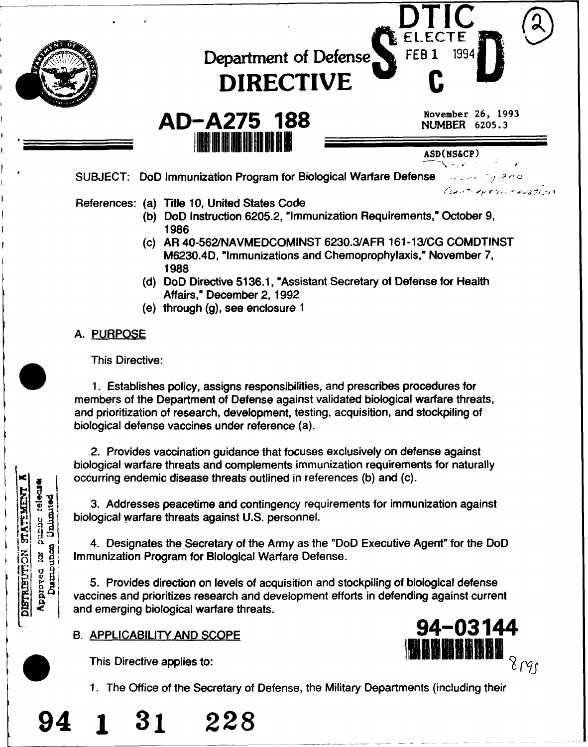

This Directive:

**Lejel** 

beneath public

STATEMENT

DISTRIBUTT

1. Establishes policy, assigns responsibilities, and prescribes procedures for members of the Department of Defense against validated biological warfare threats, and prioritization of research, development, testing, acquisition, and stockpiling of biological defense vaccines under reference (a).

2. Provides vaccination guidance that focuses exclusively on defense against biological warfare threats and complements immunization requirements for naturally occurring endemic disease threats outlined in references (b) and (c).

3. Addresses peacetime and contingency requirements for immunization against biological warfare threats against U.S. personnel.

4. Designates the Secretary of the Army as the "DoD Executive Agent" for the DoD

4. Designates the Secretary of the Army as the "Do<br>
Immunization Program for Biological Warfare Defense.<br>
5. Provides direction on levels of acquisition and strate<br>
vaccines and prioritizes research and development effc<br>
a 5. Provides direction on levels of acquisition and stockpiling of biological defense vaccines and prioritizes research and development efforts in defending against current and emerging biological warfare threats.<br>B. APPLICABILITY AND SCOPE 94-03144

94 **1 31 228**



1. The Office of the Secretary of Defense, the Military Departments (including their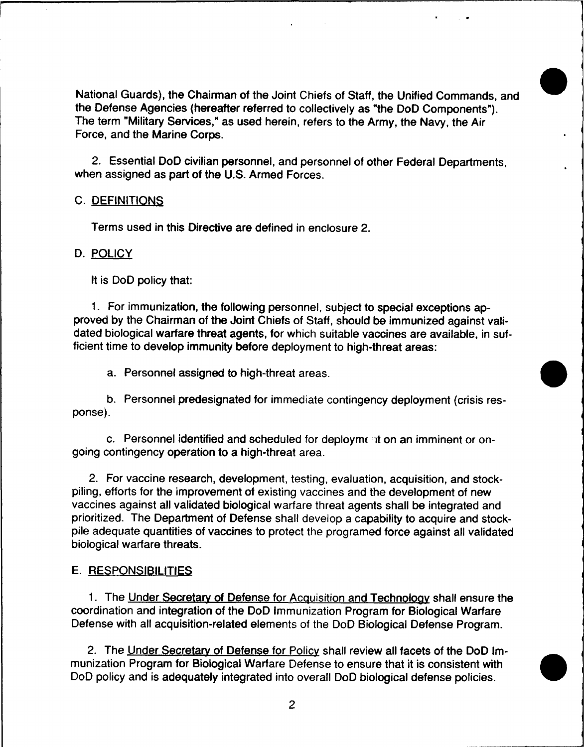National Guards), the Chairman of the Joint Chiefs of Staff, the Unified Commands, and the Defense Agencies (hereafter referred to collectively as "the DoD Components"). The term "Military Services," as used herein, refers to the Army, the Navy, the Air Force, and the Marine Corps.

2. Essential DoD civilian personnel, and personnel of other Federal Departments, when assigned as part of the U.S. Armed Forces.

## C. DEFINITIONS

Terms used in this Directive are defined in enclosure 2.

#### D. POLICY

It is DoD policy that:

1. For immunization, the following personnel, subject to special exceptions approved by the Chairman of the Joint Chiefs of Staff, should be immunized against validated biological warfare threat agents, for which suitable vaccines are available, in sufficient time to develop immunity before deployment to high-threat areas:

a. Personnel assigned to high-threat areas.

b. Personnel predesignated for immediate contingency deployment (crisis response).

c. Personnel identified and scheduled for deployment on an imminent or ongoing contingency operation to a high-threat area.

2. For vaccine research, development, testing, evaluation, acquisition, and stockpiling, efforts for the improvement of existing vaccines and the development of new vaccines against all validated biological warfare threat agents shall be integrated and prioritized. The Department of Defense shall develop a capability to acquire and stockpile adequate quantities of vaccines to protect the programed force against all validated biological warfare threats.

## E. RESPONSIBILITIES

1. The Under Secretary of Defense for Acquisition and Technology shall ensure the coordination and integration of the DoD Immunization Program for Biological Warfare Defense with all acquisition-related elements of the DoD Biological Defense Program.

2. The Under Secretary of Defense for Policy shall review all facets of the DoD Immunization Program for Biological Warfare Defense to ensure that it is consistent with DoD policy and is adequately integrated into overall DoD biological defense policies.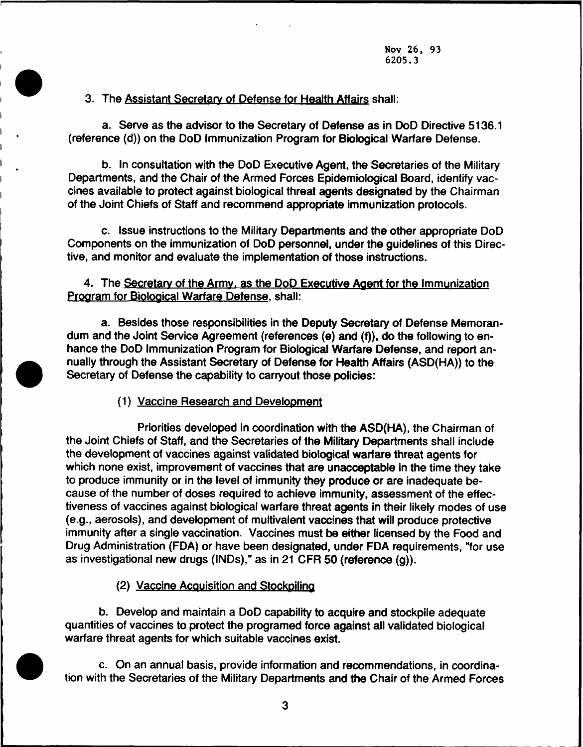Nov 26, 93 6205.3

3. The Assistant Secretary of Defense for Health Affairs shall:

a. Serve as the advisor to the Secretary of Defense as in DoD Directive 5136.1 (reference (d)) on the DoD Immunization Program for Biological Warfare Defense.

b. In consultation with the DoD Executive Agent, the Secretaries of the Military Departments, and the Chair of the Armed Forces Epidemiological Board, identify vaccines available to protect against biological threat agents designated by the Chairman of the Joint Chiefs of Staff and recommend appropriate immunization protocols.

c. Issue instructions to the Military Departments and the other appropriate DoD Components on the immunization of DoD personnel, under the guidelines of this Directive, and monitor and evaluate the implementation of those instructions.

# 4. The Secretary of the Army. as the DoD Executive Agent for the Immunization Program for Biological Warfare Defense, shall:

a. Besides those responsibilities in the Deputy Secretary of Defense Memorandum and the Joint Service Agreement (references (e) and (f)), do the following to en-<br>hance the DoD Immunization Program for Biological Warfare Defense, and report an<br>nually through the Assistant Secretary of Defense for H hance the DoD Immunization Program for Biological Warfare Defense, and report an- Secretary of Defense the capability to carryout those policies:

(1) Vaccine Research and Development

Priorities developed in coordination with the ASD(HA), the Chairman of the Joint Chiefs of Staff, and the Secretaries of the Military Departments shall include the development of vaccines against validated biological warfare threat agents for which none exist, improvement of vaccines that are unacceptable in the time they take to produce immunity or in the level of immunity they produce or are inadequate because of the number of doses required to achieve immunity, assessment of the effectiveness of vaccines against biological warfare threat agents in their likely modes of use (e.g., aerosols), and development of multivalent vaccines that will produce protective immunity after a single vaccination. Vaccines must be either licensed by the Food and Drug Administration (FDA) or have been designated, under FDA requirements, "for use as investigational new drugs (INDs)," as in 21 CFR 50 (reference (g)).

(2) Vaccine Acquisition and Stockpiling

b. Develop and maintain a DoD capability to acquire and stockpile adequate quantities of vaccines to protect the programed force against all validated biological warfare threat agents for which suitable vaccines exist.

c. On an annual basis, provide information and recommendations, in coordination with the Secretaries of the Military Departments and the Chair of the Armed Forces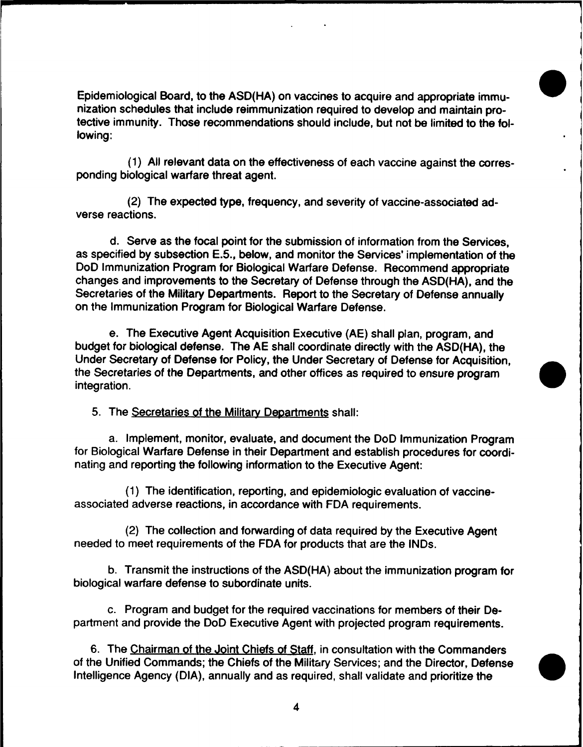Epidemiological Board, to the ASD(HA) on vaccines to acquire and appropriate immunization schedules that include reimmunization required to develop and maintain protective immunity. Those recommendations should include, but not be limited to the following:

(1) All relevant data on the effectiveness of each vaccine against the corresponding biological warfare threat agent.

(2) The expected type, frequency, and severity of vaccine-associated adverse reactions.

d. Serve as the focal point for the submission of information from the Services, as specified by subsection E.5., below, and monitor the Services' implementation of the DoD Immunization Program for Biological Warfare Defense. Recommend appropriate changes and improvements to the Secretary of Defense through the ASD(HA), and the Secretaries of the Military Departments. Report to the Secretary of Defense annually on the Immunization Program for Biological Warfare Defense.

e. The Executive Agent Acquisition Executive (AE) shall plan, program, and budget for biological defense. The AE shall coordinate directly with the ASD(HA), the Under Secretary of Defense for Policy, the Under Secretary of Defense for Acquisition, the Secretaries of the Departments, and other offices as required to ensure program integration.

5. The Secretaries of the Military Departments shall:

a. Implement, monitor, evaluate, and document the DoD Immunization Program for Biological Warfare Defense in their Department and establish procedures for coordinating and reporting the following information to the Executive Agent:

(1) The identification, reporting, and epidemiologic evaluation of vaccineassociated adverse reactions, in accordance with FDA requirements.

(2) The collection and forwarding of data required by the Executive Agent needed to meet requirements of the FDA for products that are the INDs.

b. Transmit the instructions of the ASD(HA) about the immunization program for biological warfare defense to subordinate units.

c. Program and budget for the required vaccinations for members of their Department and provide the DoD Executive Agent with projected program requirements.

6. The Chairman of the Joint Chiefs of Staff, in consultation with the Commanders of the Unified Commands; the Chiefs of the Military Services; and the Director, Defense Intelligence Agency (DIA), annually and as required, shall validate and prioritize the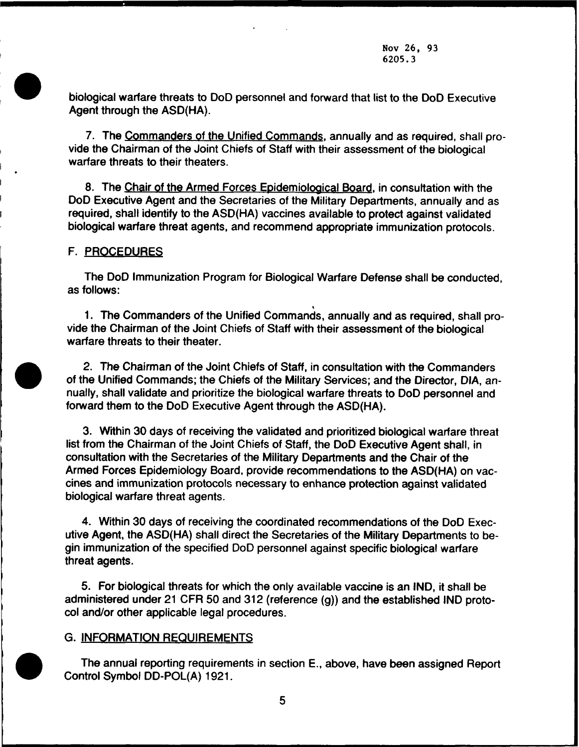. biological warfare threats to DoD personnel and forward that list to the DoD Executive Agent through the ASD(HA).

7. The Commanders of the Unified Commands, annually and as required, shall provide the Chairman of the Joint Chiefs of Staff with their assessment of the biological warfare threats to their theaters.

8. The Chair of the Armed Forces Epidemiological Board, in consultation with the DoD Executive Agent and the Secretaries of the Military Departments, annually and as required, shall identify to the ASD(HA) vaccines available to protect against validated biological warfare threat agents, and recommend appropriate immunization protocols.

#### F. PROCEDURES

The DoD Immunization Program for Biological Warfare Defense shall be conducted, as follows:

1. The Commanders of the Unified Commands, annually and as required, shall provide the Chairman of the Joint Chiefs of Staff with their assessment of the biological warfare threats to their theater.

. 2. The Chairman of the Joint Chiefs of Staff, in consultation with the Commanders of the Unified Commands; the Chiefs of the Military Services; and the Director, DIA, annually, shall validate and prioritize the biological warfare threats to DoD personnel and forward them to the DoD Executive Agent through the ASD(HA).

3. Within 30 days of receiving the validated and prioritized biological warfare threat list from the Chairman of the Joint Chiefs of Staff, the DoD Executive Agent shall, in consultation with the Secretaries of the Military Departments and the Chair of the Armed Forces Epidemiology Board, provide recommendations to the ASD(HA) on vaccines and immunization protocols necessary to enhance protection against validated biological warfare threat agents.

4. Within 30 days of receiving the coordinated recommendations of the DoD Executive Agent, the ASD(HA) shall direct the Secretaries of the Military Departments to begin immunization of the specified DoD personnel against specific biological warfare threat agents.

5. For biological threats for which the only available vaccine is an IND, it shall be administered under 21 CFR 50 and 312 (reference (g)) and the established IND protocol and/or other applicable legal procedures.

#### G. INFORMATION REQUIREMENTS

The annual reporting requirements in section E., above, have been assigned Report Control Symbol DD-POL(A) 1921.



5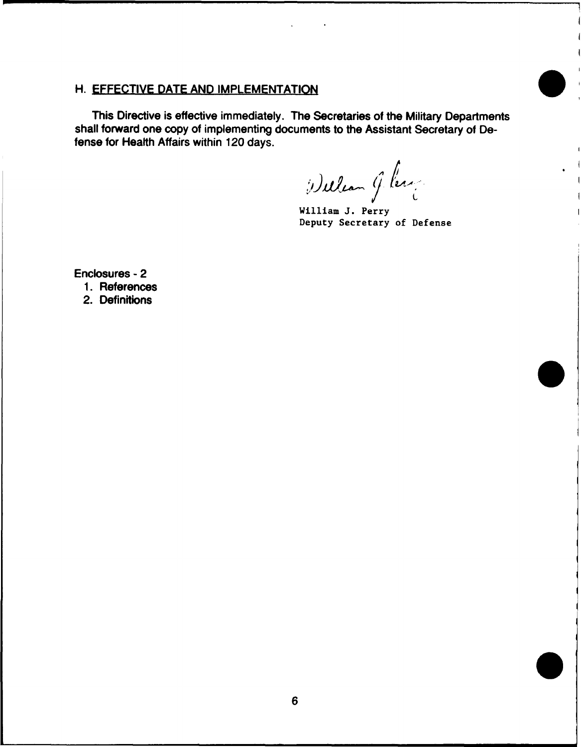# H. EFFECTIVE DATE AND IMPLEMENTATION

This Directive is effective immediately. The Secretaries of the Military Departments shall forward one copy of implementing documents to the Assistant Secretary of Defense for Health Affairs within 120 days.

William G. lerge

William J. Perry Deputy Secretary of Defense

Enclosures - 2

1. References

2. Definitions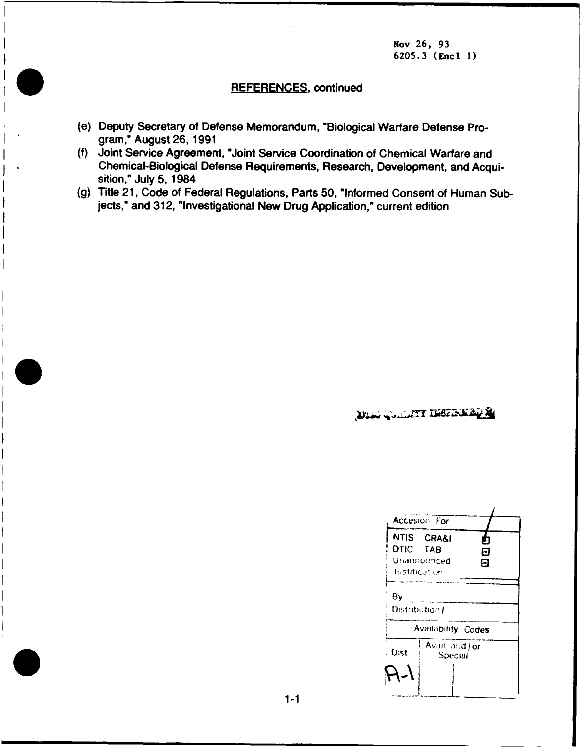Nov 26, 93 6205.3 (Encl 1)

# **REFERENCES,** continued

- (e) Deputy Secretary of Defense Memorandum, "Biological Warfare Defense Program," August 26, 1991
- (f) Joint Service Agreement, "Joint Service Coordination of Chemical Warfare and Chemical-Biological Defense Requirements, Research, Development, and Acquisition," July 5, 1984
- (g) Title 21, Code of Federal Regulations, Parts 50, "Informed Consent of Human Subjects," and 312, "Investigational New Drug Application," current edition

4

DEN GULLTT INSPIRENCE

|                           | Accesion For              |             |
|---------------------------|---------------------------|-------------|
| DTIC TAB<br>Justificat on | NTIS CRA&I<br>Unannounced | Л<br>Е<br>О |
| 8y<br>Distribution /      |                           |             |
| <b>Availability Codes</b> |                           |             |
| Dist                      | Avail and J or<br>Special |             |